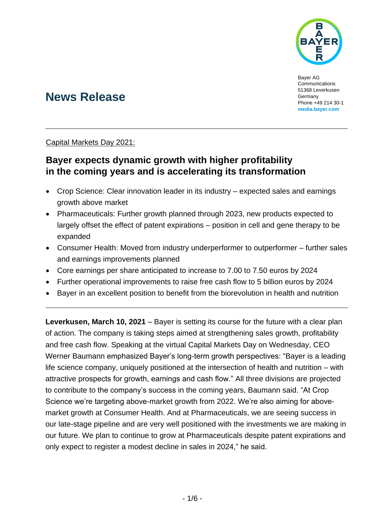

Bayer AG Communications 51368 Leverkusen Germany Phone +49 214 30-1 **[media.bayer.com](http://media.bayer.com/)**

# **News Release**

Capital Markets Day 2021:

# **Bayer expects dynamic growth with higher profitability in the coming years and is accelerating its transformation**

- Crop Science: Clear innovation leader in its industry expected sales and earnings growth above market
- Pharmaceuticals: Further growth planned through 2023, new products expected to largely offset the effect of patent expirations – position in cell and gene therapy to be expanded
- Consumer Health: Moved from industry underperformer to outperformer further sales and earnings improvements planned
- Core earnings per share anticipated to increase to 7.00 to 7.50 euros by 2024
- Further operational improvements to raise free cash flow to 5 billion euros by 2024
- Bayer in an excellent position to benefit from the biorevolution in health and nutrition

**Leverkusen. March 10, 2021** – Baver is setting its course for the future with a clear plan of action. The company is taking steps aimed at strengthening sales growth, profitability and free cash flow. Speaking at the virtual Capital Markets Day on Wednesday, CEO Werner Baumann emphasized Bayer's long-term growth perspectives: "Bayer is a leading life science company, uniquely positioned at the intersection of health and nutrition – with attractive prospects for growth, earnings and cash flow." All three divisions are projected to contribute to the company's success in the coming years, Baumann said. "At Crop Science we're targeting above-market growth from 2022. We're also aiming for abovemarket growth at Consumer Health. And at Pharmaceuticals, we are seeing success in our late-stage pipeline and are very well positioned with the investments we are making in our future. We plan to continue to grow at Pharmaceuticals despite patent expirations and only expect to register a modest decline in sales in 2024," he said.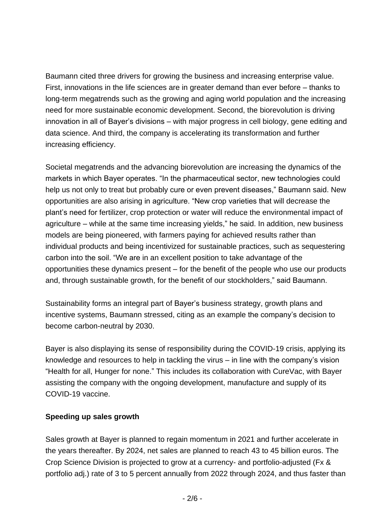Baumann cited three drivers for growing the business and increasing enterprise value. First, innovations in the life sciences are in greater demand than ever before – thanks to long-term megatrends such as the growing and aging world population and the increasing need for more sustainable economic development. Second, the biorevolution is driving innovation in all of Bayer's divisions – with major progress in cell biology, gene editing and data science. And third, the company is accelerating its transformation and further increasing efficiency.

Societal megatrends and the advancing biorevolution are increasing the dynamics of the markets in which Bayer operates. "In the pharmaceutical sector, new technologies could help us not only to treat but probably cure or even prevent diseases," Baumann said. New opportunities are also arising in agriculture. "New crop varieties that will decrease the plant's need for fertilizer, crop protection or water will reduce the environmental impact of agriculture – while at the same time increasing yields," he said. In addition, new business models are being pioneered, with farmers paying for achieved results rather than individual products and being incentivized for sustainable practices, such as sequestering carbon into the soil. "We are in an excellent position to take advantage of the opportunities these dynamics present – for the benefit of the people who use our products and, through sustainable growth, for the benefit of our stockholders," said Baumann.

Sustainability forms an integral part of Bayer's business strategy, growth plans and incentive systems, Baumann stressed, citing as an example the company's decision to become carbon-neutral by 2030.

Bayer is also displaying its sense of responsibility during the COVID-19 crisis, applying its knowledge and resources to help in tackling the virus – in line with the company's vision "Health for all, Hunger for none." This includes its collaboration with CureVac, with Bayer assisting the company with the ongoing development, manufacture and supply of its COVID-19 vaccine.

## **Speeding up sales growth**

Sales growth at Bayer is planned to regain momentum in 2021 and further accelerate in the years thereafter. By 2024, net sales are planned to reach 43 to 45 billion euros. The Crop Science Division is projected to grow at a currency- and portfolio-adjusted (Fx & portfolio adj.) rate of 3 to 5 percent annually from 2022 through 2024, and thus faster than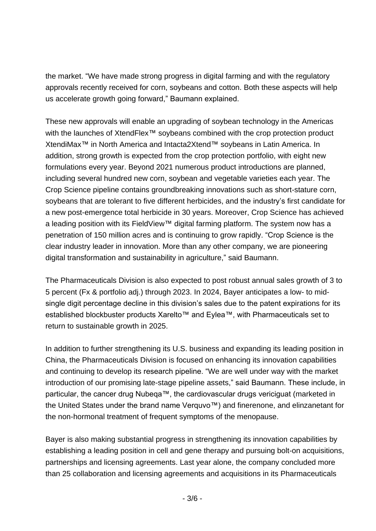the market. "We have made strong progress in digital farming and with the regulatory approvals recently received for corn, soybeans and cotton. Both these aspects will help us accelerate growth going forward," Baumann explained.

These new approvals will enable an upgrading of soybean technology in the Americas with the launches of XtendFlex™ soybeans combined with the crop protection product XtendiMax™ in North America and Intacta2Xtend™ soybeans in Latin America. In addition, strong growth is expected from the crop protection portfolio, with eight new formulations every year. Beyond 2021 numerous product introductions are planned, including several hundred new corn, soybean and vegetable varieties each year. The Crop Science pipeline contains groundbreaking innovations such as short-stature corn, soybeans that are tolerant to five different herbicides, and the industry's first candidate for a new post-emergence total herbicide in 30 years. Moreover, Crop Science has achieved a leading position with its FieldView™ digital farming platform. The system now has a penetration of 150 million acres and is continuing to grow rapidly. "Crop Science is the clear industry leader in innovation. More than any other company, we are pioneering digital transformation and sustainability in agriculture," said Baumann.

The Pharmaceuticals Division is also expected to post robust annual sales growth of 3 to 5 percent (Fx & portfolio adj.) through 2023. In 2024, Bayer anticipates a low- to midsingle digit percentage decline in this division's sales due to the patent expirations for its established blockbuster products Xarelto™ and Eylea™, with Pharmaceuticals set to return to sustainable growth in 2025.

In addition to further strengthening its U.S. business and expanding its leading position in China, the Pharmaceuticals Division is focused on enhancing its innovation capabilities and continuing to develop its research pipeline. "We are well under way with the market introduction of our promising late-stage pipeline assets," said Baumann. These include, in particular, the cancer drug Nubeqa™, the cardiovascular drugs vericiguat (marketed in the United States under the brand name Verquvo™) and finerenone, and elinzanetant for the non-hormonal treatment of frequent symptoms of the menopause.

Bayer is also making substantial progress in strengthening its innovation capabilities by establishing a leading position in cell and gene therapy and pursuing bolt-on acquisitions, partnerships and licensing agreements. Last year alone, the company concluded more than 25 collaboration and licensing agreements and acquisitions in its Pharmaceuticals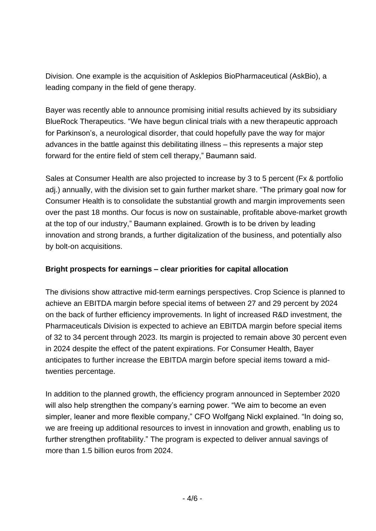Division. One example is the acquisition of Asklepios BioPharmaceutical (AskBio), a leading company in the field of gene therapy.

Bayer was recently able to announce promising initial results achieved by its subsidiary BlueRock Therapeutics. "We have begun clinical trials with a new therapeutic approach for Parkinson's, a neurological disorder, that could hopefully pave the way for major advances in the battle against this debilitating illness – this represents a major step forward for the entire field of stem cell therapy," Baumann said.

Sales at Consumer Health are also projected to increase by 3 to 5 percent (Fx & portfolio adj.) annually, with the division set to gain further market share. "The primary goal now for Consumer Health is to consolidate the substantial growth and margin improvements seen over the past 18 months. Our focus is now on sustainable, profitable above-market growth at the top of our industry," Baumann explained. Growth is to be driven by leading innovation and strong brands, a further digitalization of the business, and potentially also by bolt-on acquisitions.

## **Bright prospects for earnings – clear priorities for capital allocation**

The divisions show attractive mid-term earnings perspectives. Crop Science is planned to achieve an EBITDA margin before special items of between 27 and 29 percent by 2024 on the back of further efficiency improvements. In light of increased R&D investment, the Pharmaceuticals Division is expected to achieve an EBITDA margin before special items of 32 to 34 percent through 2023. Its margin is projected to remain above 30 percent even in 2024 despite the effect of the patent expirations. For Consumer Health, Bayer anticipates to further increase the EBITDA margin before special items toward a midtwenties percentage.

In addition to the planned growth, the efficiency program announced in September 2020 will also help strengthen the company's earning power. "We aim to become an even simpler, leaner and more flexible company," CFO Wolfgang Nickl explained. "In doing so, we are freeing up additional resources to invest in innovation and growth, enabling us to further strengthen profitability." The program is expected to deliver annual savings of more than 1.5 billion euros from 2024.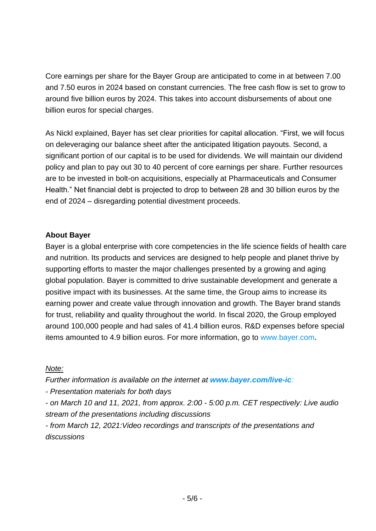Core earnings per share for the Bayer Group are anticipated to come in at between 7.00 and 7.50 euros in 2024 based on constant currencies. The free cash flow is set to grow to around five billion euros by 2024. This takes into account disbursements of about one billion euros for special charges.

As Nickl explained, Bayer has set clear priorities for capital allocation. "First, we will focus on deleveraging our balance sheet after the anticipated litigation payouts. Second, a significant portion of our capital is to be used for dividends. We will maintain our dividend policy and plan to pay out 30 to 40 percent of core earnings per share. Further resources are to be invested in bolt-on acquisitions, especially at Pharmaceuticals and Consumer Health." Net financial debt is projected to drop to between 28 and 30 billion euros by the end of 2024 – disregarding potential divestment proceeds.

#### **About Bayer**

Bayer is a global enterprise with core competencies in the life science fields of health care and nutrition. Its products and services are designed to help people and planet thrive by supporting efforts to master the major challenges presented by a growing and aging global population. Bayer is committed to drive sustainable development and generate a positive impact with its businesses. At the same time, the Group aims to increase its earning power and create value through innovation and growth. The Bayer brand stands for trust, reliability and quality throughout the world. In fiscal 2020, the Group employed around 100,000 people and had sales of 41.4 billion euros. R&D expenses before special items amounted to 4.9 billion euros. For more information, go to [www.bayer.com](http://www.bayer.com/).

#### *Note:*

*Further information is available on the internet at [www.bayer.com/live-ic](http://www.bayer.com/live-ic):*

*- Presentation materials for both days*

*- on March 10 and 11, 2021, from approx. 2:00 - 5:00 p.m. CET respectively: Live audio stream of the presentations including discussions* 

*- from March 12, 2021:Video recordings and transcripts of the presentations and discussions*